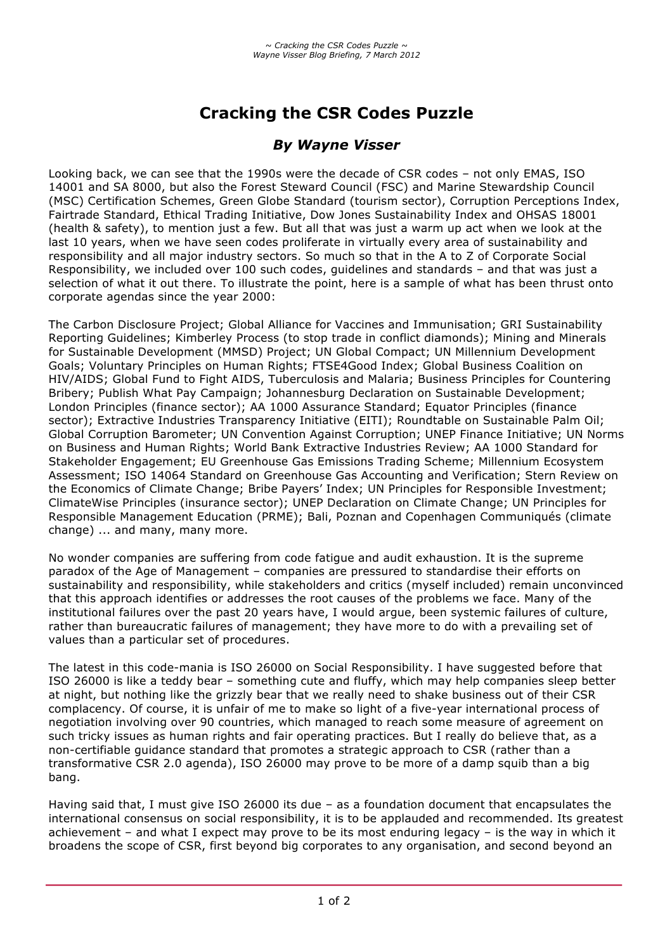# **Cracking the CSR Codes Puzzle**

## *By Wayne Visser*

Looking back, we can see that the 1990s were the decade of CSR codes – not only EMAS, ISO 14001 and SA 8000, but also the Forest Steward Council (FSC) and Marine Stewardship Council (MSC) Certification Schemes, Green Globe Standard (tourism sector), Corruption Perceptions Index, Fairtrade Standard, Ethical Trading Initiative, Dow Jones Sustainability Index and OHSAS 18001 (health & safety), to mention just a few. But all that was just a warm up act when we look at the last 10 years, when we have seen codes proliferate in virtually every area of sustainability and responsibility and all major industry sectors. So much so that in the A to Z of Corporate Social Responsibility, we included over 100 such codes, guidelines and standards – and that was just a selection of what it out there. To illustrate the point, here is a sample of what has been thrust onto corporate agendas since the year 2000:

The Carbon Disclosure Project; Global Alliance for Vaccines and Immunisation; GRI Sustainability Reporting Guidelines; Kimberley Process (to stop trade in conflict diamonds); Mining and Minerals for Sustainable Development (MMSD) Project; UN Global Compact; UN Millennium Development Goals; Voluntary Principles on Human Rights; FTSE4Good Index; Global Business Coalition on HIV/AIDS; Global Fund to Fight AIDS, Tuberculosis and Malaria; Business Principles for Countering Bribery; Publish What Pay Campaign; Johannesburg Declaration on Sustainable Development; London Principles (finance sector); AA 1000 Assurance Standard; Equator Principles (finance sector); Extractive Industries Transparency Initiative (EITI); Roundtable on Sustainable Palm Oil; Global Corruption Barometer; UN Convention Against Corruption; UNEP Finance Initiative; UN Norms on Business and Human Rights; World Bank Extractive Industries Review; AA 1000 Standard for Stakeholder Engagement; EU Greenhouse Gas Emissions Trading Scheme; Millennium Ecosystem Assessment; ISO 14064 Standard on Greenhouse Gas Accounting and Verification; Stern Review on the Economics of Climate Change; Bribe Payers' Index; UN Principles for Responsible Investment; ClimateWise Principles (insurance sector); UNEP Declaration on Climate Change; UN Principles for Responsible Management Education (PRME); Bali, Poznan and Copenhagen Communiqués (climate change) ... and many, many more.

No wonder companies are suffering from code fatigue and audit exhaustion. It is the supreme paradox of the Age of Management – companies are pressured to standardise their efforts on sustainability and responsibility, while stakeholders and critics (myself included) remain unconvinced that this approach identifies or addresses the root causes of the problems we face. Many of the institutional failures over the past 20 years have, I would argue, been systemic failures of culture, rather than bureaucratic failures of management; they have more to do with a prevailing set of values than a particular set of procedures.

The latest in this code-mania is ISO 26000 on Social Responsibility. I have suggested before that ISO 26000 is like a teddy bear – something cute and fluffy, which may help companies sleep better at night, but nothing like the grizzly bear that we really need to shake business out of their CSR complacency. Of course, it is unfair of me to make so light of a five-year international process of negotiation involving over 90 countries, which managed to reach some measure of agreement on such tricky issues as human rights and fair operating practices. But I really do believe that, as a non-certifiable guidance standard that promotes a strategic approach to CSR (rather than a transformative CSR 2.0 agenda), ISO 26000 may prove to be more of a damp squib than a big bang.

Having said that, I must give ISO 26000 its due – as a foundation document that encapsulates the international consensus on social responsibility, it is to be applauded and recommended. Its greatest achievement – and what I expect may prove to be its most enduring legacy – is the way in which it broadens the scope of CSR, first beyond big corporates to any organisation, and second beyond an